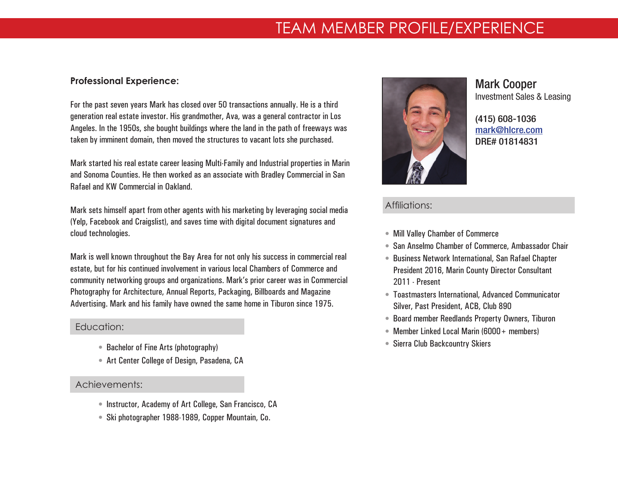# TEAM MEMBER PROFILE/EXPERIENCE

### **Professional Experience:**

For the past seven years Mark has closed over 50 transactions annually. He is a third generation real estate investor. His grandmother, Ava, was a general contractor in Los Angeles. In the 1950s, she bought buildings where the land in the path of freeways was taken by imminent domain, then moved the structures to vacant lots she purchased.

Mark started his real estate career leasing Multi-Family and Industrial properties in Marin and Sonoma Counties. He then worked as an associate with Bradley Commercial in San Rafael and KW Commercial in Oakland.

Mark sets himself apart from other agents with his marketing by leveraging social media (Yelp, Facebook and Craigslist), and saves time with digital document signatures and cloud technologies.

Mark is well known throughout the Bay Area for not only his success in commercial real estate, but for his continued involvement in various local Chambers of Commerce and community networking groups and organizations. Mark's prior career was in Commercial Photography for Architecture, Annual Reports, Packaging, Billboards and Magazine Advertising. Mark and his family have owned the same home in Tiburon since 1975.

### Education: Education:

- Bachelor of Fine Arts (photography)
- Art Center College of Design, Pasadena, CA

## Achievements: Achievements:

- Instructor, Academy of Art College, San Francisco, CA
- Ski photographer 1988-1989, Copper Mountain, Co.



# Mark Cooper Investment Sales & Leasing

[\(415\) 608-1036](4156081036) [mark@hlcre.com](mailto:mark%40hlcre.com?subject=) DRE# 01814831

# Affiliations:

- Mill Valley Chamber of Commerce
- San Anselmo Chamber of Commerce, Ambassador Chair
- Business Network International, San Rafael Chapter President 2016, Marin County Director Consultant 2011 - Present
- Toastmasters International, Advanced Communicator Silver, Past President, ACB, Club 890
- Board member Reedlands Property Owners, Tiburon
- Member Linked Local Marin (6000 + members)
- Sierra Club Backcountry Skiers